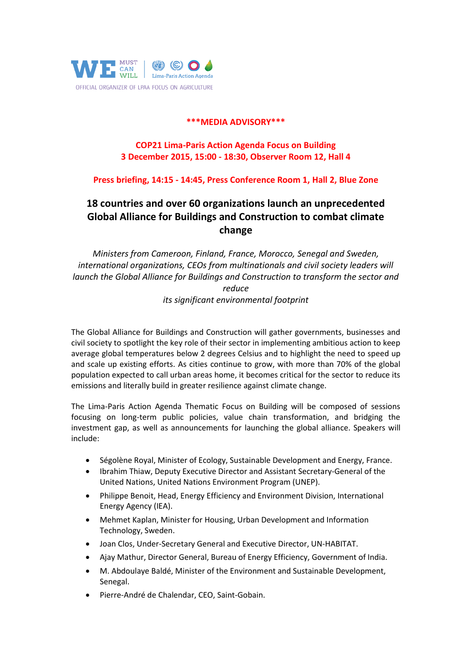

### **\*\*\*MEDIA ADVISORY\*\*\***

# **COP21 Lima-Paris Action Agenda Focus on Building 3 December 2015, 15:00 - 18:30, Observer Room 12, Hall 4**

## **Press briefing, 14:15 - 14:45, Press Conference Room 1, Hall 2, Blue Zone**

# **18 countries and over 60 organizations launch an unprecedented Global Alliance for Buildings and Construction to combat climate change**

*Ministers from Cameroon, Finland, France, Morocco, Senegal and Sweden, international organizations, CEOs from multinationals and civil society leaders will launch the Global Alliance for Buildings and Construction to transform the sector and reduce* 

*its significant environmental footprint*

The Global Alliance for Buildings and Construction will gather governments, businesses and civil society to spotlight the key role of their sector in implementing ambitious action to keep average global temperatures below 2 degrees Celsius and to highlight the need to speed up and scale up existing efforts. As cities continue to grow, with more than 70% of the global population expected to call urban areas home, it becomes critical for the sector to reduce its emissions and literally build in greater resilience against climate change.

The Lima-Paris Action Agenda Thematic Focus on Building will be composed of sessions focusing on long-term public policies, value chain transformation, and bridging the investment gap, as well as announcements for launching the global alliance. Speakers will include:

- Ségolène Royal, Minister of Ecology, Sustainable Development and Energy, France.
- Ibrahim Thiaw, Deputy Executive Director and Assistant Secretary-General of the United Nations, United Nations Environment Program (UNEP).
- Philippe Benoit, Head, Energy Efficiency and Environment Division, International Energy Agency (IEA).
- Mehmet Kaplan, Minister for Housing, Urban Development and Information Technology, Sweden.
- Joan Clos, Under-Secretary General and Executive Director, UN-HABITAT.
- Ajay Mathur, Director General, Bureau of Energy Efficiency, Government of India.
- M. Abdoulaye Baldé, Minister of the Environment and Sustainable Development, Senegal.
- Pierre-André de Chalendar, CEO, Saint-Gobain.